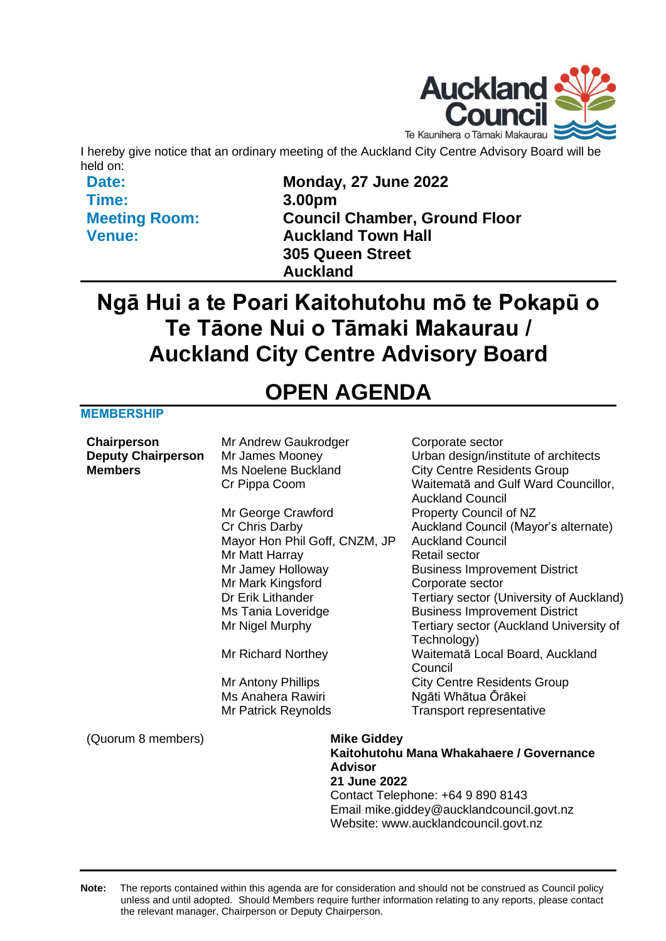

I hereby give notice that an ordinary meeting of the Auckland City Centre Advisory Board will be held on:

**Date: Time: Meeting Room: Venue:**

**Monday, 27 June 2022 3.00pm Council Chamber, Ground Floor Auckland Town Hall 305 Queen Street Auckland**

# **Ngā Hui a te Poari Kaitohutohu mō te Pokapū o Te Tāone Nui o Tāmaki Makaurau / Auckland City Centre Advisory Board**

# **OPEN AGENDA**

#### **MEMBERSHIP**

| Chairperson<br><b>Deputy Chairperson</b><br><b>Members</b> | Mr Andrew Gaukrodger<br>Mr James Mooney<br>Ms Noelene Buckland<br>Cr Pippa Coom |                                                            | Corporate sector<br>Urban design/institute of architects<br><b>City Centre Residents Group</b><br>Waitematā and Gulf Ward Councillor,<br><b>Auckland Council</b> |  |
|------------------------------------------------------------|---------------------------------------------------------------------------------|------------------------------------------------------------|------------------------------------------------------------------------------------------------------------------------------------------------------------------|--|
|                                                            | Mr George Crawford                                                              |                                                            | Property Council of NZ                                                                                                                                           |  |
|                                                            | Cr Chris Darby                                                                  |                                                            | Auckland Council (Mayor's alternate)                                                                                                                             |  |
|                                                            | Mayor Hon Phil Goff, CNZM, JP                                                   |                                                            | <b>Auckland Council</b>                                                                                                                                          |  |
|                                                            | Mr Matt Harray                                                                  |                                                            | <b>Retail sector</b>                                                                                                                                             |  |
|                                                            | Mr Jamey Holloway                                                               |                                                            | <b>Business Improvement District</b>                                                                                                                             |  |
|                                                            | Mr Mark Kingsford                                                               |                                                            | Corporate sector                                                                                                                                                 |  |
|                                                            | Dr Erik Lithander                                                               |                                                            | Tertiary sector (University of Auckland)                                                                                                                         |  |
|                                                            | Ms Tania Loveridge                                                              |                                                            | <b>Business Improvement District</b>                                                                                                                             |  |
|                                                            | Mr Nigel Murphy                                                                 |                                                            | Tertiary sector (Auckland University of                                                                                                                          |  |
|                                                            |                                                                                 |                                                            | Technology)                                                                                                                                                      |  |
|                                                            | Mr Richard Northey                                                              |                                                            | Waitematā Local Board, Auckland<br>Council                                                                                                                       |  |
|                                                            | Mr Antony Phillips                                                              |                                                            | <b>City Centre Residents Group</b>                                                                                                                               |  |
|                                                            | Ms Anahera Rawiri                                                               |                                                            | Ngāti Whātua Ōrākei                                                                                                                                              |  |
|                                                            | Mr Patrick Reynolds                                                             |                                                            | Transport representative                                                                                                                                         |  |
| (Quorum 8 members)                                         |                                                                                 | <b>Mike Giddey</b>                                         |                                                                                                                                                                  |  |
|                                                            |                                                                                 | Kaitohutohu Mana Whakahaere / Governance<br><b>Advisor</b> |                                                                                                                                                                  |  |
|                                                            |                                                                                 |                                                            |                                                                                                                                                                  |  |
|                                                            | 21 June 2022                                                                    |                                                            |                                                                                                                                                                  |  |
|                                                            | Contact Telephone: +64 9 890 8143<br>Email: mike.giddey@aucklandcouncil.govt.nz |                                                            |                                                                                                                                                                  |  |
|                                                            |                                                                                 | Website: www.aucklandcouncil.govt.nz                       |                                                                                                                                                                  |  |

**Note:** The reports contained within this agenda are for consideration and should not be construed as Council policy unless and until adopted. Should Members require further information relating to any reports, please contact the relevant manager, Chairperson or Deputy Chairperson.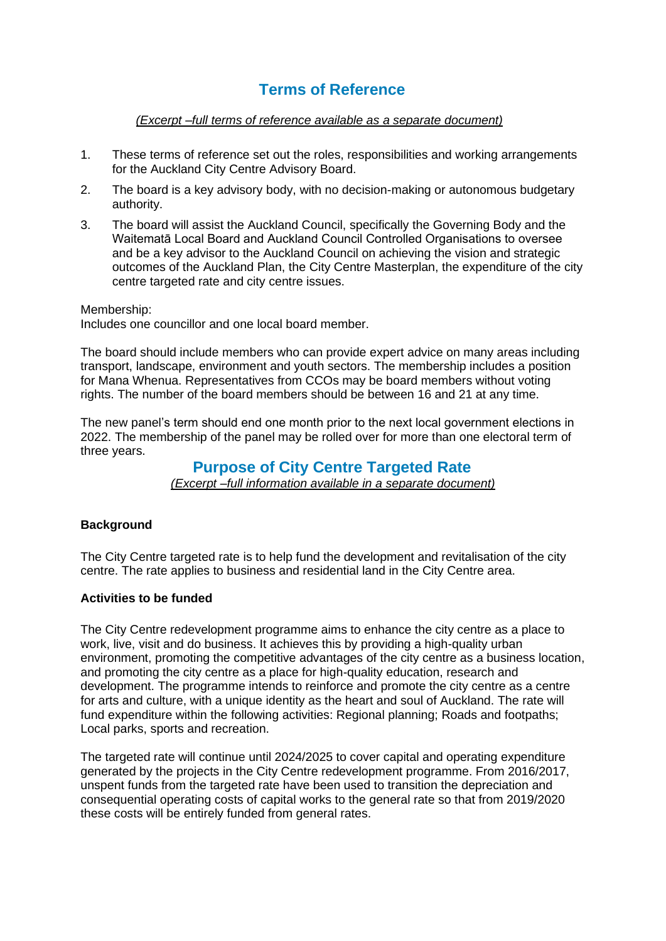### **Terms of Reference**

#### *(Excerpt –full terms of reference available as a separate document)*

- 1. These terms of reference set out the roles, responsibilities and working arrangements for the Auckland City Centre Advisory Board.
- 2. The board is a key advisory body, with no decision-making or autonomous budgetary authority.
- 3. The board will assist the Auckland Council, specifically the Governing Body and the Waitematā Local Board and Auckland Council Controlled Organisations to oversee and be a key advisor to the Auckland Council on achieving the vision and strategic outcomes of the Auckland Plan, the City Centre Masterplan, the expenditure of the city centre targeted rate and city centre issues.

Membership:

Includes one councillor and one local board member.

The board should include members who can provide expert advice on many areas including transport, landscape, environment and youth sectors. The membership includes a position for Mana Whenua. Representatives from CCOs may be board members without voting rights. The number of the board members should be between 16 and 21 at any time.

The new panel's term should end one month prior to the next local government elections in 2022. The membership of the panel may be rolled over for more than one electoral term of three years.

#### **Purpose of City Centre Targeted Rate**

*(Excerpt –full information available in a separate document)*

#### **Background**

The City Centre targeted rate is to help fund the development and revitalisation of the city centre. The rate applies to business and residential land in the City Centre area.

#### **Activities to be funded**

The City Centre redevelopment programme aims to enhance the city centre as a place to work, live, visit and do business. It achieves this by providing a high-quality urban environment, promoting the competitive advantages of the city centre as a business location, and promoting the city centre as a place for high-quality education, research and development. The programme intends to reinforce and promote the city centre as a centre for arts and culture, with a unique identity as the heart and soul of Auckland. The rate will fund expenditure within the following activities: Regional planning; Roads and footpaths; Local parks, sports and recreation.

The targeted rate will continue until 2024/2025 to cover capital and operating expenditure generated by the projects in the City Centre redevelopment programme. From 2016/2017, unspent funds from the targeted rate have been used to transition the depreciation and consequential operating costs of capital works to the general rate so that from 2019/2020 these costs will be entirely funded from general rates.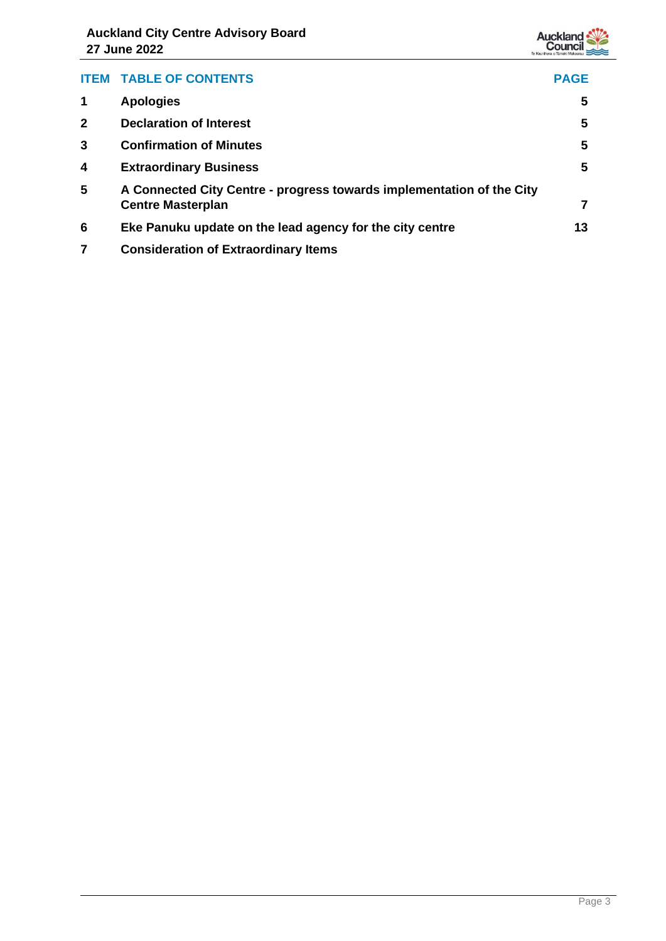

| <b>ITEM</b>     | <b>TABLE OF CONTENTS</b>                                                                          | <b>PAGE</b> |
|-----------------|---------------------------------------------------------------------------------------------------|-------------|
|                 | <b>Apologies</b>                                                                                  | 5           |
| $\mathbf{2}$    | <b>Declaration of Interest</b>                                                                    | 5           |
| 3               | <b>Confirmation of Minutes</b>                                                                    | 5           |
| 4               | <b>Extraordinary Business</b>                                                                     | 5           |
| $5\phantom{.0}$ | A Connected City Centre - progress towards implementation of the City<br><b>Centre Masterplan</b> | 7           |
| 6               | Eke Panuku update on the lead agency for the city centre                                          | 13          |
|                 | <b>Consideration of Extraordinary Items</b>                                                       |             |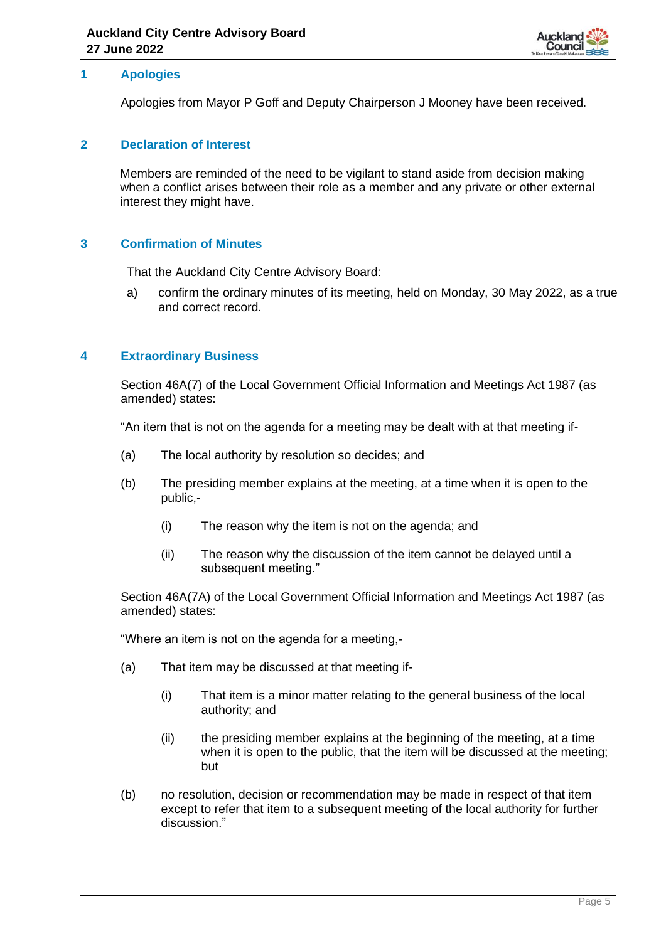

#### <span id="page-4-0"></span>**1 Apologies**

Apologies from Mayor P Goff and Deputy Chairperson J Mooney have been received.

#### <span id="page-4-1"></span>**2 Declaration of Interest**

Members are reminded of the need to be vigilant to stand aside from decision making when a conflict arises between their role as a member and any private or other external interest they might have.

#### <span id="page-4-2"></span>**3 Confirmation of Minutes**

That the Auckland City Centre Advisory Board:

a) confirm the ordinary minutes of its meeting, held on Monday, 30 May 2022, as a true and correct record.

#### <span id="page-4-3"></span>**4 Extraordinary Business**

Section 46A(7) of the Local Government Official Information and Meetings Act 1987 (as amended) states:

"An item that is not on the agenda for a meeting may be dealt with at that meeting if-

- (a) The local authority by resolution so decides; and
- (b) The presiding member explains at the meeting, at a time when it is open to the public,-
	- (i) The reason why the item is not on the agenda; and
	- (ii) The reason why the discussion of the item cannot be delayed until a subsequent meeting."

Section 46A(7A) of the Local Government Official Information and Meetings Act 1987 (as amended) states:

"Where an item is not on the agenda for a meeting,-

- (a) That item may be discussed at that meeting if-
	- (i) That item is a minor matter relating to the general business of the local authority; and
	- (ii) the presiding member explains at the beginning of the meeting, at a time when it is open to the public, that the item will be discussed at the meeting; but
- (b) no resolution, decision or recommendation may be made in respect of that item except to refer that item to a subsequent meeting of the local authority for further discussion."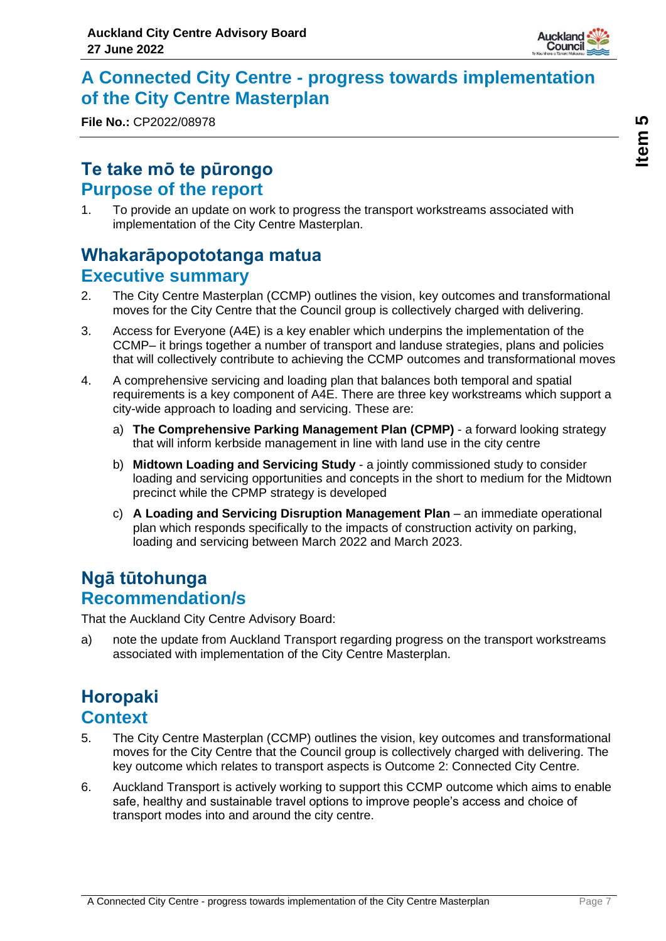

## <span id="page-6-0"></span>**A Connected City Centre - progress towards implementation of the City Centre Masterplan**

**File No.:** CP2022/08978

# **Te take mō te pūrongo Purpose of the report**

1. To provide an update on work to progress the transport workstreams associated with implementation of the City Centre Masterplan.

# **Whakarāpopototanga matua Executive summary**

- 2. The City Centre Masterplan (CCMP) outlines the vision, key outcomes and transformational moves for the City Centre that the Council group is collectively charged with delivering.
- 3. Access for Everyone (A4E) is a key enabler which underpins the implementation of the CCMP– it brings together a number of transport and landuse strategies, plans and policies that will collectively contribute to achieving the CCMP outcomes and transformational moves
- 4. A comprehensive servicing and loading plan that balances both temporal and spatial requirements is a key component of A4E. There are three key workstreams which support a city-wide approach to loading and servicing. These are:
	- a) **The Comprehensive Parking Management Plan (CPMP)** a forward looking strategy that will inform kerbside management in line with land use in the city centre
	- b) **Midtown Loading and Servicing Study** a jointly commissioned study to consider loading and servicing opportunities and concepts in the short to medium for the Midtown precinct while the CPMP strategy is developed
	- c) **A Loading and Servicing Disruption Management Plan** an immediate operational plan which responds specifically to the impacts of construction activity on parking, loading and servicing between March 2022 and March 2023.

### **Ngā tūtohunga Recommendation/s**

That the Auckland City Centre Advisory Board:

a) note the update from Auckland Transport regarding progress on the transport workstreams associated with implementation of the City Centre Masterplan.

# **Horopaki Context**

- 5. The City Centre Masterplan (CCMP) outlines the vision, key outcomes and transformational moves for the City Centre that the Council group is collectively charged with delivering. The key outcome which relates to transport aspects is Outcome 2: Connected City Centre.
- 6. Auckland Transport is actively working to support this CCMP outcome which aims to enable safe, healthy and sustainable travel options to improve people's access and choice of transport modes into and around the city centre.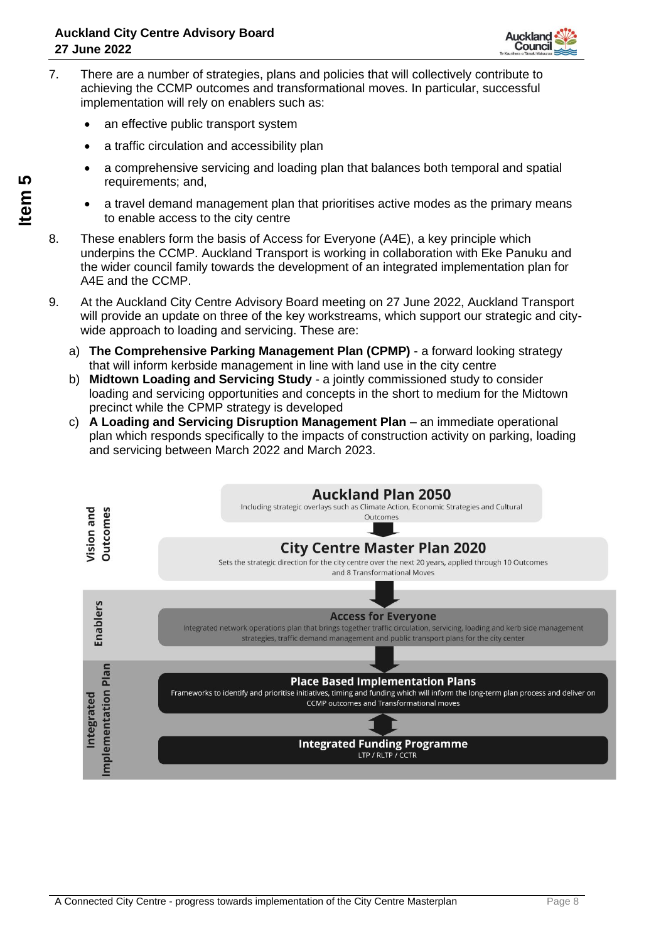

- 7. There are a number of strategies, plans and policies that will collectively contribute to achieving the CCMP outcomes and transformational moves. In particular, successful implementation will rely on enablers such as:
	- an effective public transport system
	- a traffic circulation and accessibility plan
	- a comprehensive servicing and loading plan that balances both temporal and spatial requirements; and,
	- a travel demand management plan that prioritises active modes as the primary means to enable access to the city centre
- 8. These enablers form the basis of Access for Everyone (A4E), a key principle which underpins the CCMP. Auckland Transport is working in collaboration with Eke Panuku and the wider council family towards the development of an integrated implementation plan for A4E and the CCMP.
- 9. At the Auckland City Centre Advisory Board meeting on 27 June 2022, Auckland Transport will provide an update on three of the key workstreams, which support our strategic and citywide approach to loading and servicing. These are:
	- a) **The Comprehensive Parking Management Plan (CPMP)** a forward looking strategy that will inform kerbside management in line with land use in the city centre
	- b) **Midtown Loading and Servicing Study** a jointly commissioned study to consider loading and servicing opportunities and concepts in the short to medium for the Midtown precinct while the CPMP strategy is developed
	- c) **A Loading and Servicing Disruption Management Plan** an immediate operational plan which responds specifically to the impacts of construction activity on parking, loading and servicing between March 2022 and March 2023.

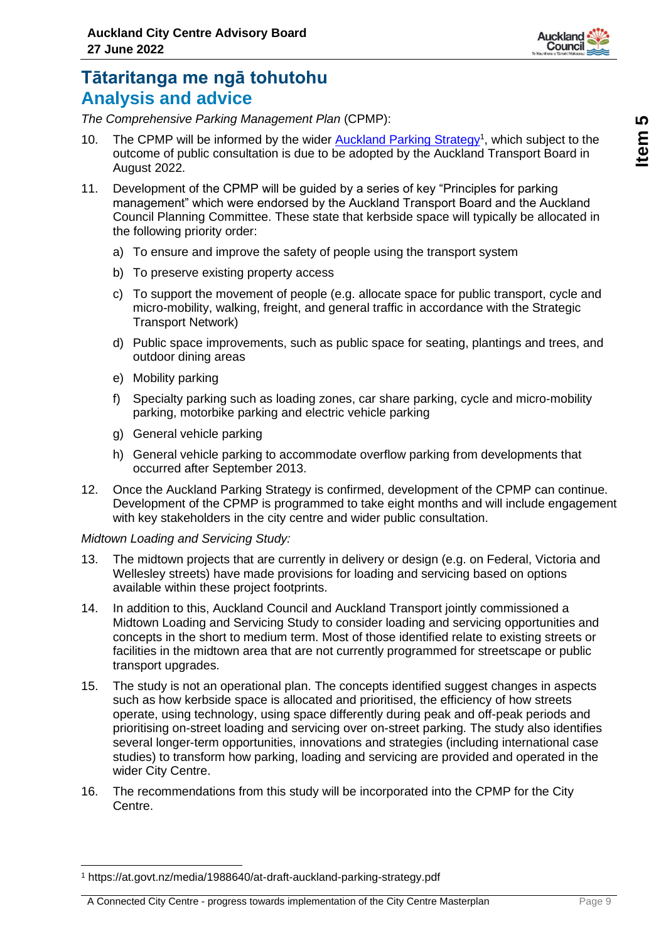

# **Tātaritanga me ngā tohutohu Analysis and advice**

*The Comprehensive Parking Management Plan* (CPMP):

- 10. The CPMP will be informed by the wider **Auckland Parking Strategy<sup>1</sup>**, which subject to the outcome of public consultation is due to be adopted by the Auckland Transport Board in August 2022.
- 11. Development of the CPMP will be guided by a series of key "Principles for parking management" which were endorsed by the Auckland Transport Board and the Auckland Council Planning Committee. These state that kerbside space will typically be allocated in the following priority order:
	- a) To ensure and improve the safety of people using the transport system
	- b) To preserve existing property access
	- c) To support the movement of people (e.g. allocate space for public transport, cycle and micro-mobility, walking, freight, and general traffic in accordance with the Strategic Transport Network)
	- d) Public space improvements, such as public space for seating, plantings and trees, and outdoor dining areas
	- e) Mobility parking
	- f) Specialty parking such as loading zones, car share parking, cycle and micro-mobility parking, motorbike parking and electric vehicle parking
	- g) General vehicle parking
	- h) General vehicle parking to accommodate overflow parking from developments that occurred after September 2013.
- 12. Once the Auckland Parking Strategy is confirmed, development of the CPMP can continue. Development of the CPMP is programmed to take eight months and will include engagement with key stakeholders in the city centre and wider public consultation.

#### *Midtown Loading and Servicing Study:*

- 13. The midtown projects that are currently in delivery or design (e.g. on Federal, Victoria and Wellesley streets) have made provisions for loading and servicing based on options available within these project footprints.
- 14. In addition to this, Auckland Council and Auckland Transport jointly commissioned a Midtown Loading and Servicing Study to consider loading and servicing opportunities and concepts in the short to medium term. Most of those identified relate to existing streets or facilities in the midtown area that are not currently programmed for streetscape or public transport upgrades.
- 15. The study is not an operational plan. The concepts identified suggest changes in aspects such as how kerbside space is allocated and prioritised, the efficiency of how streets operate, using technology, using space differently during peak and off-peak periods and prioritising on-street loading and servicing over on-street parking. The study also identifies several longer-term opportunities, innovations and strategies (including international case studies) to transform how parking, loading and servicing are provided and operated in the wider City Centre.
- 16. The recommendations from this study will be incorporated into the CPMP for the City Centre.

<sup>1</sup> https://at.govt.nz/media/1988640/at-draft-auckland-parking-strategy.pdf

A Connected City Centre - progress towards implementation of the City Centre Masterplan Page 9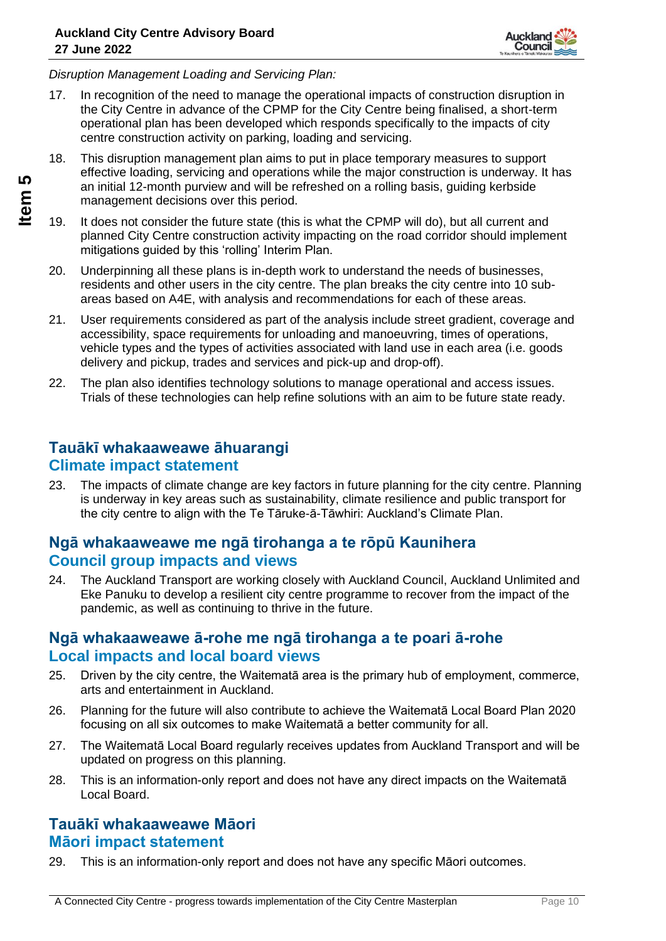

*Disruption Management Loading and Servicing Plan:*

- 17. In recognition of the need to manage the operational impacts of construction disruption in the City Centre in advance of the CPMP for the City Centre being finalised, a short-term operational plan has been developed which responds specifically to the impacts of city centre construction activity on parking, loading and servicing.
- 18. This disruption management plan aims to put in place temporary measures to support effective loading, servicing and operations while the major construction is underway. It has an initial 12-month purview and will be refreshed on a rolling basis, guiding kerbside management decisions over this period.
- 19. It does not consider the future state (this is what the CPMP will do), but all current and planned City Centre construction activity impacting on the road corridor should implement mitigations guided by this 'rolling' Interim Plan.
- 20. Underpinning all these plans is in-depth work to understand the needs of businesses, residents and other users in the city centre. The plan breaks the city centre into 10 subareas based on A4E, with analysis and recommendations for each of these areas.
- 21. User requirements considered as part of the analysis include street gradient, coverage and accessibility, space requirements for unloading and manoeuvring, times of operations, vehicle types and the types of activities associated with land use in each area (i.e. goods delivery and pickup, trades and services and pick-up and drop-off).
- 22. The plan also identifies technology solutions to manage operational and access issues. Trials of these technologies can help refine solutions with an aim to be future state ready.

### **Tauākī whakaaweawe āhuarangi Climate impact statement**

23. The impacts of climate change are key factors in future planning for the city centre. Planning is underway in key areas such as sustainability, climate resilience and public transport for the city centre to align with the Te Tāruke-ā-Tāwhiri: Auckland's Climate Plan.

### **Ngā whakaaweawe me ngā tirohanga a te rōpū Kaunihera Council group impacts and views**

24. The Auckland Transport are working closely with Auckland Council, Auckland Unlimited and Eke Panuku to develop a resilient city centre programme to recover from the impact of the pandemic, as well as continuing to thrive in the future.

#### **Ngā whakaaweawe ā-rohe me ngā tirohanga a te poari ā-rohe Local impacts and local board views**

- 25. Driven by the city centre, the Waitematā area is the primary hub of employment, commerce, arts and entertainment in Auckland.
- 26. Planning for the future will also contribute to achieve the Waitematā Local Board Plan 2020 focusing on all six outcomes to make Waitematā a better community for all.
- 27. The Waitematā Local Board regularly receives updates from Auckland Transport and will be updated on progress on this planning.
- 28. This is an information-only report and does not have any direct impacts on the Waitematā Local Board.

### **Tauākī whakaaweawe Māori Māori impact statement**

29. This is an information-only report and does not have any specific Māori outcomes.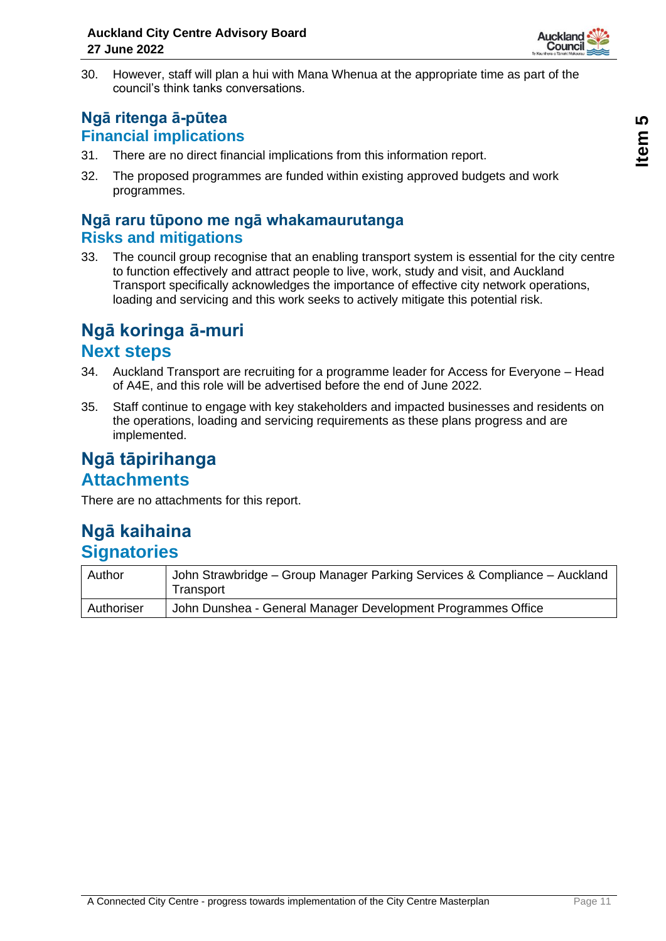

30. However, staff will plan a hui with Mana Whenua at the appropriate time as part of the council's think tanks conversations.

### **Ngā ritenga ā-pūtea Financial implications**

- 31. There are no direct financial implications from this information report.
- 32. The proposed programmes are funded within existing approved budgets and work programmes.

### **Ngā raru tūpono me ngā whakamaurutanga Risks and mitigations**

33. The council group recognise that an enabling transport system is essential for the city centre to function effectively and attract people to live, work, study and visit, and Auckland Transport specifically acknowledges the importance of effective city network operations, loading and servicing and this work seeks to actively mitigate this potential risk.

### **Ngā koringa ā-muri Next steps**

- 34. Auckland Transport are recruiting for a programme leader for Access for Everyone Head of A4E, and this role will be advertised before the end of June 2022.
- 35. Staff continue to engage with key stakeholders and impacted businesses and residents on the operations, loading and servicing requirements as these plans progress and are implemented.

# **Ngā tāpirihanga Attachments**

There are no attachments for this report.

# **Ngā kaihaina Signatories**

| Author     | John Strawbridge - Group Manager Parking Services & Compliance - Auckland<br>Transport |
|------------|----------------------------------------------------------------------------------------|
| Authoriser | John Dunshea - General Manager Development Programmes Office                           |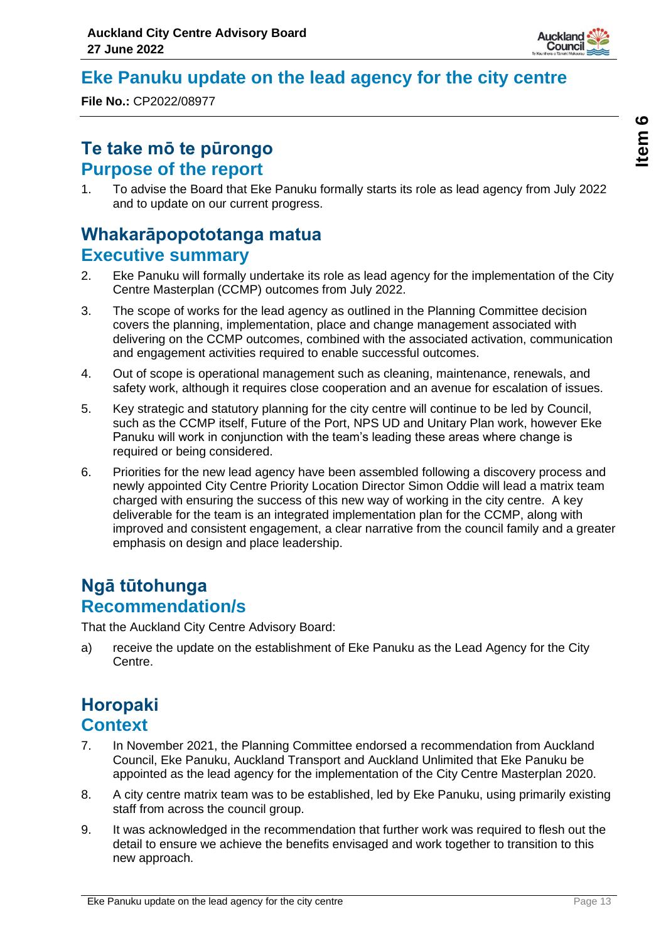

# <span id="page-12-0"></span>**Eke Panuku update on the lead agency for the city centre**

**File No.:** CP2022/08977

# **Te take mō te pūrongo Purpose of the report**

1. To advise the Board that Eke Panuku formally starts its role as lead agency from July 2022 and to update on our current progress.

# **Whakarāpopototanga matua Executive summary**

- 2. Eke Panuku will formally undertake its role as lead agency for the implementation of the City Centre Masterplan (CCMP) outcomes from July 2022.
- 3. The scope of works for the lead agency as outlined in the Planning Committee decision covers the planning, implementation, place and change management associated with delivering on the CCMP outcomes, combined with the associated activation, communication and engagement activities required to enable successful outcomes.
- 4. Out of scope is operational management such as cleaning, maintenance, renewals, and safety work, although it requires close cooperation and an avenue for escalation of issues.
- 5. Key strategic and statutory planning for the city centre will continue to be led by Council, such as the CCMP itself, Future of the Port, NPS UD and Unitary Plan work, however Eke Panuku will work in conjunction with the team's leading these areas where change is required or being considered.
- 6. Priorities for the new lead agency have been assembled following a discovery process and newly appointed City Centre Priority Location Director Simon Oddie will lead a matrix team charged with ensuring the success of this new way of working in the city centre. A key deliverable for the team is an integrated implementation plan for the CCMP, along with improved and consistent engagement, a clear narrative from the council family and a greater emphasis on design and place leadership.

# **Ngā tūtohunga Recommendation/s**

That the Auckland City Centre Advisory Board:

a) receive the update on the establishment of Eke Panuku as the Lead Agency for the City Centre.

# **Horopaki Context**

- 7. In November 2021, the Planning Committee endorsed a recommendation from Auckland Council, Eke Panuku, Auckland Transport and Auckland Unlimited that Eke Panuku be appointed as the lead agency for the implementation of the City Centre Masterplan 2020.
- 8. A city centre matrix team was to be established, led by Eke Panuku, using primarily existing staff from across the council group.
- 9. It was acknowledged in the recommendation that further work was required to flesh out the detail to ensure we achieve the benefits envisaged and work together to transition to this new approach.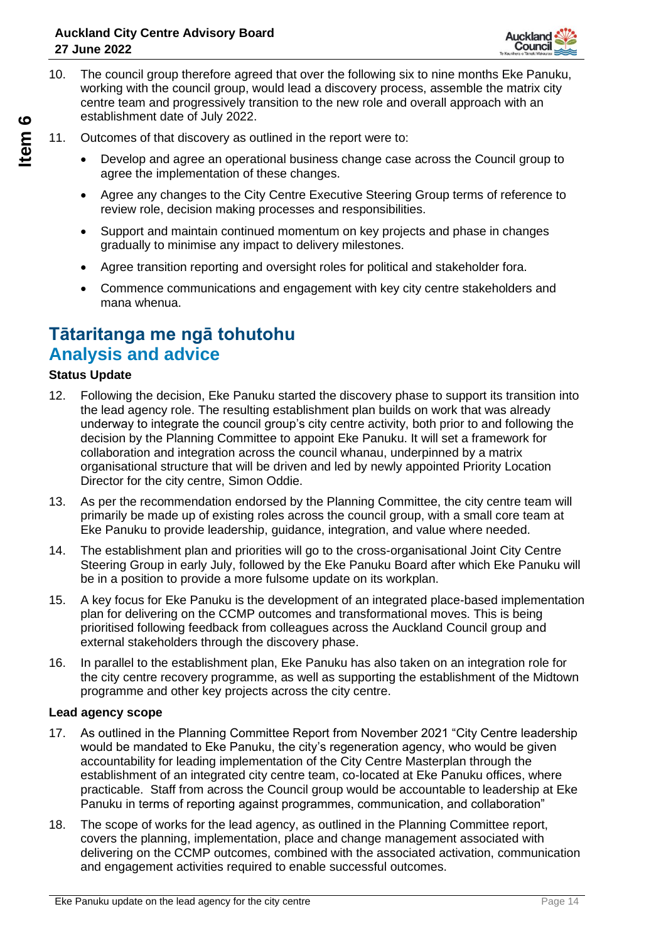

- 10. The council group therefore agreed that over the following six to nine months Eke Panuku, working with the council group, would lead a discovery process, assemble the matrix city centre team and progressively transition to the new role and overall approach with an establishment date of July 2022.
- 11. Outcomes of that discovery as outlined in the report were to:
	- Develop and agree an operational business change case across the Council group to agree the implementation of these changes.
	- Agree any changes to the City Centre Executive Steering Group terms of reference to review role, decision making processes and responsibilities.
	- Support and maintain continued momentum on key projects and phase in changes gradually to minimise any impact to delivery milestones.
	- Agree transition reporting and oversight roles for political and stakeholder fora.
	- Commence communications and engagement with key city centre stakeholders and mana whenua.

# **Tātaritanga me ngā tohutohu Analysis and advice**

#### **Status Update**

- 12. Following the decision, Eke Panuku started the discovery phase to support its transition into the lead agency role. The resulting establishment plan builds on work that was already underway to integrate the council group's city centre activity, both prior to and following the decision by the Planning Committee to appoint Eke Panuku. It will set a framework for collaboration and integration across the council whanau, underpinned by a matrix organisational structure that will be driven and led by newly appointed Priority Location Director for the city centre, Simon Oddie.
- 13. As per the recommendation endorsed by the Planning Committee, the city centre team will primarily be made up of existing roles across the council group, with a small core team at Eke Panuku to provide leadership, guidance, integration, and value where needed.
- 14. The establishment plan and priorities will go to the cross-organisational Joint City Centre Steering Group in early July, followed by the Eke Panuku Board after which Eke Panuku will be in a position to provide a more fulsome update on its workplan.
- 15. A key focus for Eke Panuku is the development of an integrated place-based implementation plan for delivering on the CCMP outcomes and transformational moves. This is being prioritised following feedback from colleagues across the Auckland Council group and external stakeholders through the discovery phase.
- 16. In parallel to the establishment plan, Eke Panuku has also taken on an integration role for the city centre recovery programme, as well as supporting the establishment of the Midtown programme and other key projects across the city centre.

#### **Lead agency scope**

- 17. As outlined in the Planning Committee Report from November 2021 "City Centre leadership would be mandated to Eke Panuku, the city's regeneration agency, who would be given accountability for leading implementation of the City Centre Masterplan through the establishment of an integrated city centre team, co-located at Eke Panuku offices, where practicable. Staff from across the Council group would be accountable to leadership at Eke Panuku in terms of reporting against programmes, communication, and collaboration"
- 18. The scope of works for the lead agency, as outlined in the Planning Committee report, covers the planning, implementation, place and change management associated with delivering on the CCMP outcomes, combined with the associated activation, communication and engagement activities required to enable successful outcomes.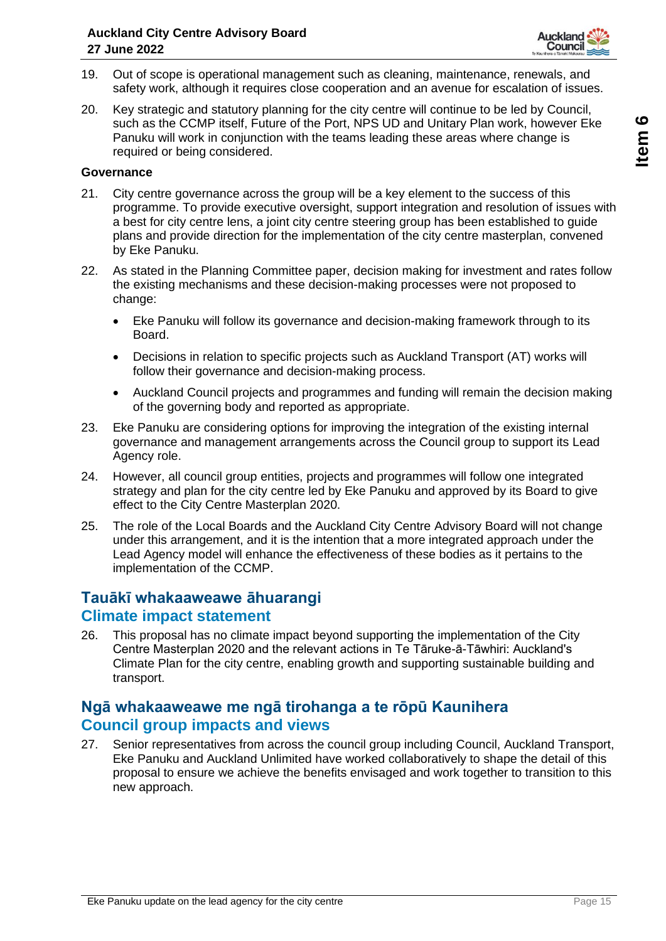

- 19. Out of scope is operational management such as cleaning, maintenance, renewals, and safety work, although it requires close cooperation and an avenue for escalation of issues.
- 20. Key strategic and statutory planning for the city centre will continue to be led by Council, such as the CCMP itself, Future of the Port, NPS UD and Unitary Plan work, however Eke Panuku will work in conjunction with the teams leading these areas where change is required or being considered.

#### **Governance**

- 21. City centre governance across the group will be a key element to the success of this programme. To provide executive oversight, support integration and resolution of issues with a best for city centre lens, a joint city centre steering group has been established to guide plans and provide direction for the implementation of the city centre masterplan, convened by Eke Panuku.
- 22. As stated in the Planning Committee paper, decision making for investment and rates follow the existing mechanisms and these decision-making processes were not proposed to change:
	- Eke Panuku will follow its governance and decision-making framework through to its Board.
	- Decisions in relation to specific projects such as Auckland Transport (AT) works will follow their governance and decision-making process.
	- Auckland Council projects and programmes and funding will remain the decision making of the governing body and reported as appropriate.
- 23. Eke Panuku are considering options for improving the integration of the existing internal governance and management arrangements across the Council group to support its Lead Agency role.
- 24. However, all council group entities, projects and programmes will follow one integrated strategy and plan for the city centre led by Eke Panuku and approved by its Board to give effect to the City Centre Masterplan 2020.
- 25. The role of the Local Boards and the Auckland City Centre Advisory Board will not change under this arrangement, and it is the intention that a more integrated approach under the Lead Agency model will enhance the effectiveness of these bodies as it pertains to the implementation of the CCMP.

#### **Tauākī whakaaweawe āhuarangi Climate impact statement**

26. This proposal has no climate impact beyond supporting the implementation of the City Centre Masterplan 2020 and the relevant actions in Te Tāruke-ā-Tāwhiri: Auckland's Climate Plan for the city centre, enabling growth and supporting sustainable building and transport.

#### **Ngā whakaaweawe me ngā tirohanga a te rōpū Kaunihera Council group impacts and views**

27. Senior representatives from across the council group including Council, Auckland Transport, Eke Panuku and Auckland Unlimited have worked collaboratively to shape the detail of this proposal to ensure we achieve the benefits envisaged and work together to transition to this new approach.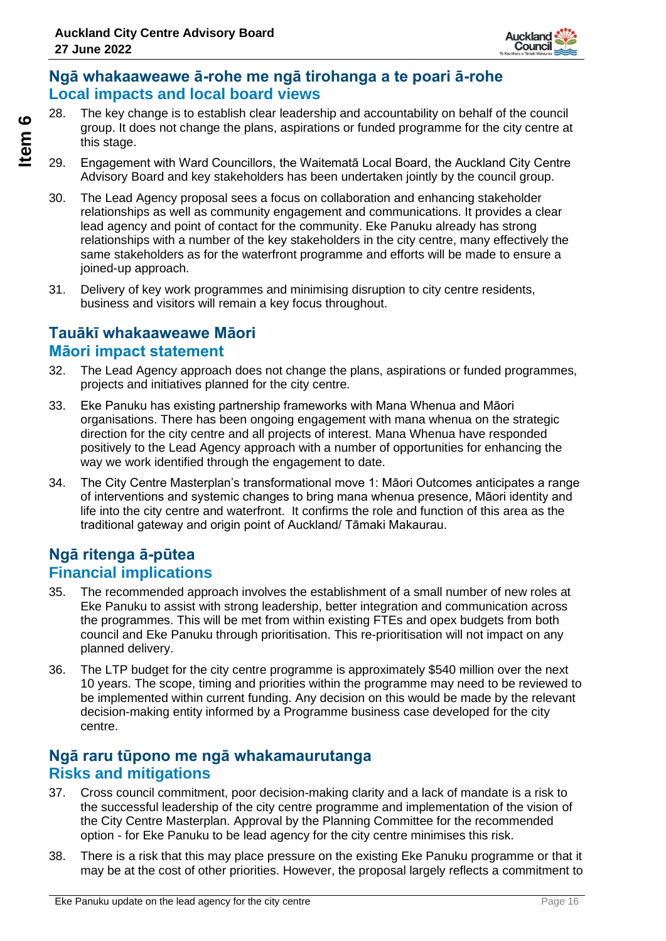

### **Ngā whakaaweawe ā-rohe me ngā tirohanga a te poari ā-rohe Local impacts and local board views**

- 28. The key change is to establish clear leadership and accountability on behalf of the council group. It does not change the plans, aspirations or funded programme for the city centre at this stage.
- 29. Engagement with Ward Councillors, the Waitematā Local Board, the Auckland City Centre Advisory Board and key stakeholders has been undertaken jointly by the council group.
- 30. The Lead Agency proposal sees a focus on collaboration and enhancing stakeholder relationships as well as community engagement and communications. It provides a clear lead agency and point of contact for the community. Eke Panuku already has strong relationships with a number of the key stakeholders in the city centre, many effectively the same stakeholders as for the waterfront programme and efforts will be made to ensure a joined-up approach.
- 31. Delivery of key work programmes and minimising disruption to city centre residents, business and visitors will remain a key focus throughout.

### **Tauākī whakaaweawe Māori Māori impact statement**

- 32. The Lead Agency approach does not change the plans, aspirations or funded programmes, projects and initiatives planned for the city centre.
- 33. Eke Panuku has existing partnership frameworks with Mana Whenua and Māori organisations. There has been ongoing engagement with mana whenua on the strategic direction for the city centre and all projects of interest. Mana Whenua have responded positively to the Lead Agency approach with a number of opportunities for enhancing the way we work identified through the engagement to date.
- 34. The City Centre Masterplan's transformational move 1: Māori Outcomes anticipates a range of interventions and systemic changes to bring mana whenua presence, Māori identity and life into the city centre and waterfront. It confirms the role and function of this area as the traditional gateway and origin point of Auckland/ Tāmaki Makaurau.

### **Ngā ritenga ā-pūtea Financial implications**

- 35. The recommended approach involves the establishment of a small number of new roles at Eke Panuku to assist with strong leadership, better integration and communication across the programmes. This will be met from within existing FTEs and opex budgets from both council and Eke Panuku through prioritisation. This re-prioritisation will not impact on any planned delivery.
- 36. The LTP budget for the city centre programme is approximately \$540 million over the next 10 years. The scope, timing and priorities within the programme may need to be reviewed to be implemented within current funding. Any decision on this would be made by the relevant decision-making entity informed by a Programme business case developed for the city centre.

### **Ngā raru tūpono me ngā whakamaurutanga Risks and mitigations**

- 37. Cross council commitment, poor decision-making clarity and a lack of mandate is a risk to the successful leadership of the city centre programme and implementation of the vision of the City Centre Masterplan. Approval by the Planning Committee for the recommended option - for Eke Panuku to be lead agency for the city centre minimises this risk.
- 38. There is a risk that this may place pressure on the existing Eke Panuku programme or that it may be at the cost of other priorities. However, the proposal largely reflects a commitment to